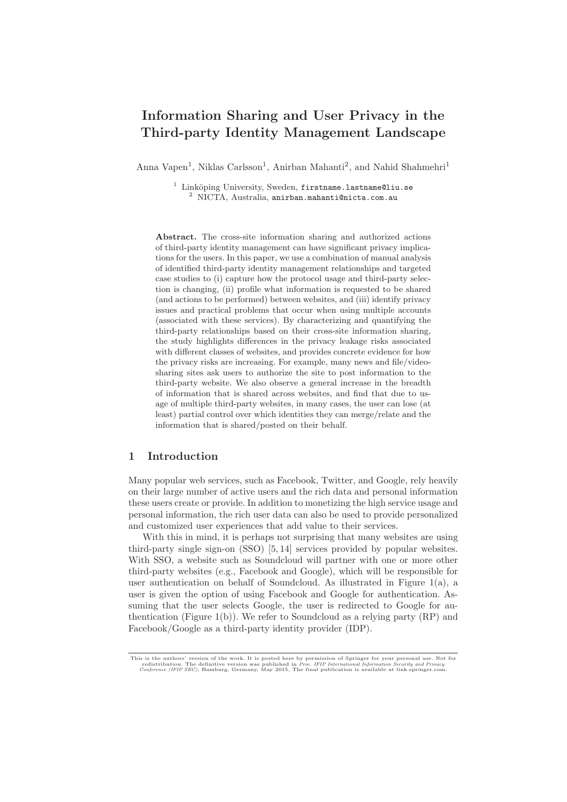# Information Sharing and User Privacy in the Third-party Identity Management Landscape

Anna Vapen<sup>1</sup>, Niklas Carlsson<sup>1</sup>, Anirban Mahanti<sup>2</sup>, and Nahid Shahmehri<sup>1</sup>

 $1$  Linköping University, Sweden, firstname.lastname@liu.se <sup>2</sup> NICTA, Australia, anirban.mahanti@nicta.com.au

Abstract. The cross-site information sharing and authorized actions of third-party identity management can have significant privacy implications for the users. In this paper, we use a combination of manual analysis of identified third-party identity management relationships and targeted case studies to (i) capture how the protocol usage and third-party selection is changing, (ii) profile what information is requested to be shared (and actions to be performed) between websites, and (iii) identify privacy issues and practical problems that occur when using multiple accounts (associated with these services). By characterizing and quantifying the third-party relationships based on their cross-site information sharing, the study highlights differences in the privacy leakage risks associated with different classes of websites, and provides concrete evidence for how the privacy risks are increasing. For example, many news and file/videosharing sites ask users to authorize the site to post information to the third-party website. We also observe a general increase in the breadth of information that is shared across websites, and find that due to usage of multiple third-party websites, in many cases, the user can lose (at least) partial control over which identities they can merge/relate and the information that is shared/posted on their behalf.

# 1 Introduction

Many popular web services, such as Facebook, Twitter, and Google, rely heavily on their large number of active users and the rich data and personal information these users create or provide. In addition to monetizing the high service usage and personal information, the rich user data can also be used to provide personalized and customized user experiences that add value to their services.

With this in mind, it is perhaps not surprising that many websites are using third-party single sign-on (SSO) [5, 14] services provided by popular websites. With SSO, a website such as Soundcloud will partner with one or more other third-party websites (e.g., Facebook and Google), which will be responsible for user authentication on behalf of Soundcloud. As illustrated in Figure  $1(a)$ , a user is given the option of using Facebook and Google for authentication. Assuming that the user selects Google, the user is redirected to Google for authentication (Figure 1(b)). We refer to Soundcloud as a relying party  $(RP)$  and Facebook/Google as a third-party identity provider (IDP).

This is the authors' version of the work. It is posted here by permission of Springer for your personal use. Not for<br>redistribution. The definitive version was published in Proc. IFIP International Information Security and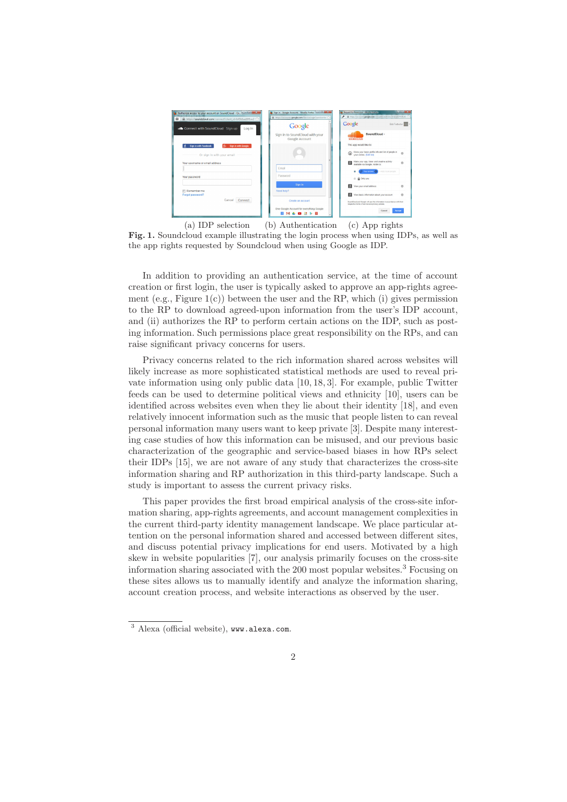

(a) IDP selection (b) Authentication (c) App rights Fig. 1. Soundcloud example illustrating the login process when using IDPs, as well as the app rights requested by Soundcloud when using Google as IDP.

In addition to providing an authentication service, at the time of account creation or first login, the user is typically asked to approve an app-rights agreement (e.g., Figure  $1(c)$ ) between the user and the RP, which (i) gives permission to the RP to download agreed-upon information from the user's IDP account, and (ii) authorizes the RP to perform certain actions on the IDP, such as posting information. Such permissions place great responsibility on the RPs, and can raise significant privacy concerns for users.

Privacy concerns related to the rich information shared across websites will likely increase as more sophisticated statistical methods are used to reveal private information using only public data [10, 18, 3]. For example, public Twitter feeds can be used to determine political views and ethnicity [10], users can be identified across websites even when they lie about their identity [18], and even relatively innocent information such as the music that people listen to can reveal personal information many users want to keep private [3]. Despite many interesting case studies of how this information can be misused, and our previous basic characterization of the geographic and service-based biases in how RPs select their IDPs [15], we are not aware of any study that characterizes the cross-site information sharing and RP authorization in this third-party landscape. Such a study is important to assess the current privacy risks.

This paper provides the first broad empirical analysis of the cross-site information sharing, app-rights agreements, and account management complexities in the current third-party identity management landscape. We place particular attention on the personal information shared and accessed between different sites, and discuss potential privacy implications for end users. Motivated by a high skew in website popularities [7], our analysis primarily focuses on the cross-site information sharing associated with the 200 most popular websites.<sup>3</sup> Focusing on these sites allows us to manually identify and analyze the information sharing, account creation process, and website interactions as observed by the user.

<sup>3</sup> Alexa (official website), www.alexa.com.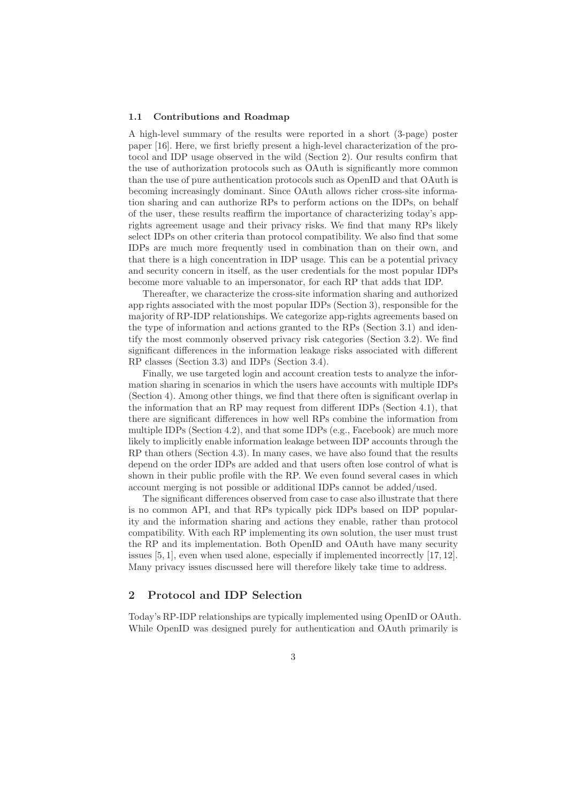#### 1.1 Contributions and Roadmap

A high-level summary of the results were reported in a short (3-page) poster paper [16]. Here, we first briefly present a high-level characterization of the protocol and IDP usage observed in the wild (Section 2). Our results confirm that the use of authorization protocols such as OAuth is significantly more common than the use of pure authentication protocols such as OpenID and that OAuth is becoming increasingly dominant. Since OAuth allows richer cross-site information sharing and can authorize RPs to perform actions on the IDPs, on behalf of the user, these results reaffirm the importance of characterizing today's apprights agreement usage and their privacy risks. We find that many RPs likely select IDPs on other criteria than protocol compatibility. We also find that some IDPs are much more frequently used in combination than on their own, and that there is a high concentration in IDP usage. This can be a potential privacy and security concern in itself, as the user credentials for the most popular IDPs become more valuable to an impersonator, for each RP that adds that IDP.

Thereafter, we characterize the cross-site information sharing and authorized app rights associated with the most popular IDPs (Section 3), responsible for the majority of RP-IDP relationships. We categorize app-rights agreements based on the type of information and actions granted to the RPs (Section 3.1) and identify the most commonly observed privacy risk categories (Section 3.2). We find significant differences in the information leakage risks associated with different RP classes (Section 3.3) and IDPs (Section 3.4).

Finally, we use targeted login and account creation tests to analyze the information sharing in scenarios in which the users have accounts with multiple IDPs (Section 4). Among other things, we find that there often is significant overlap in the information that an RP may request from different IDPs (Section 4.1), that there are significant differences in how well RPs combine the information from multiple IDPs (Section 4.2), and that some IDPs (e.g., Facebook) are much more likely to implicitly enable information leakage between IDP accounts through the RP than others (Section 4.3). In many cases, we have also found that the results depend on the order IDPs are added and that users often lose control of what is shown in their public profile with the RP. We even found several cases in which account merging is not possible or additional IDPs cannot be added/used.

The significant differences observed from case to case also illustrate that there is no common API, and that RPs typically pick IDPs based on IDP popularity and the information sharing and actions they enable, rather than protocol compatibility. With each RP implementing its own solution, the user must trust the RP and its implementation. Both OpenID and OAuth have many security issues [5, 1], even when used alone, especially if implemented incorrectly [17, 12]. Many privacy issues discussed here will therefore likely take time to address.

# 2 Protocol and IDP Selection

Today's RP-IDP relationships are typically implemented using OpenID or OAuth. While OpenID was designed purely for authentication and OAuth primarily is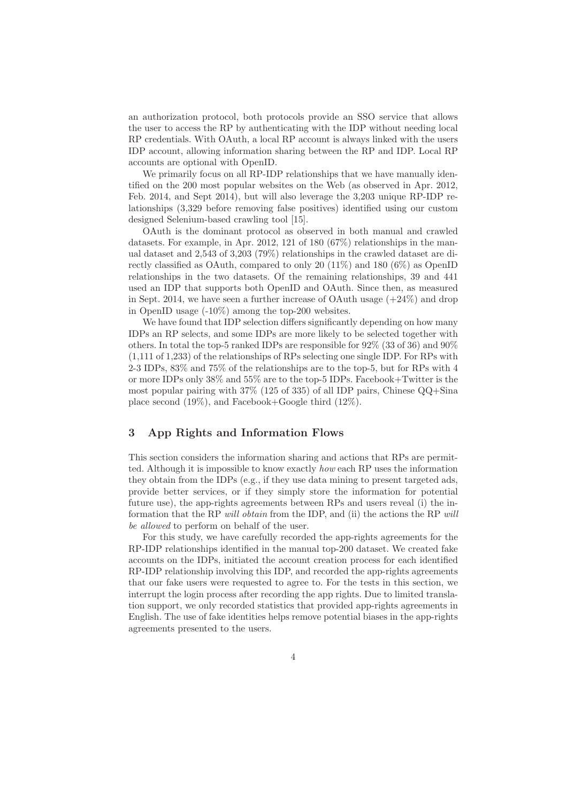an authorization protocol, both protocols provide an SSO service that allows the user to access the RP by authenticating with the IDP without needing local RP credentials. With OAuth, a local RP account is always linked with the users IDP account, allowing information sharing between the RP and IDP. Local RP accounts are optional with OpenID.

We primarily focus on all RP-IDP relationships that we have manually identified on the 200 most popular websites on the Web (as observed in Apr. 2012, Feb. 2014, and Sept 2014), but will also leverage the 3,203 unique RP-IDP relationships (3,329 before removing false positives) identified using our custom designed Selenium-based crawling tool [15].

OAuth is the dominant protocol as observed in both manual and crawled datasets. For example, in Apr. 2012, 121 of 180 (67%) relationships in the manual dataset and 2,543 of 3,203 (79%) relationships in the crawled dataset are directly classified as OAuth, compared to only 20 (11%) and 180 (6%) as OpenID relationships in the two datasets. Of the remaining relationships, 39 and 441 used an IDP that supports both OpenID and OAuth. Since then, as measured in Sept. 2014, we have seen a further increase of OAuth usage  $(+24%)$  and drop in OpenID usage (-10%) among the top-200 websites.

We have found that IDP selection differs significantly depending on how many IDPs an RP selects, and some IDPs are more likely to be selected together with others. In total the top-5 ranked IDPs are responsible for 92% (33 of 36) and 90% (1,111 of 1,233) of the relationships of RPs selecting one single IDP. For RPs with 2-3 IDPs, 83% and 75% of the relationships are to the top-5, but for RPs with 4 or more IDPs only 38% and 55% are to the top-5 IDPs. Facebook+Twitter is the most popular pairing with 37% (125 of 335) of all IDP pairs, Chinese QQ+Sina place second (19%), and Facebook+Google third (12%).

# 3 App Rights and Information Flows

This section considers the information sharing and actions that RPs are permitted. Although it is impossible to know exactly how each RP uses the information they obtain from the IDPs (e.g., if they use data mining to present targeted ads, provide better services, or if they simply store the information for potential future use), the app-rights agreements between RPs and users reveal (i) the information that the RP will obtain from the IDP, and (ii) the actions the RP will be allowed to perform on behalf of the user.

For this study, we have carefully recorded the app-rights agreements for the RP-IDP relationships identified in the manual top-200 dataset. We created fake accounts on the IDPs, initiated the account creation process for each identified RP-IDP relationship involving this IDP, and recorded the app-rights agreements that our fake users were requested to agree to. For the tests in this section, we interrupt the login process after recording the app rights. Due to limited translation support, we only recorded statistics that provided app-rights agreements in English. The use of fake identities helps remove potential biases in the app-rights agreements presented to the users.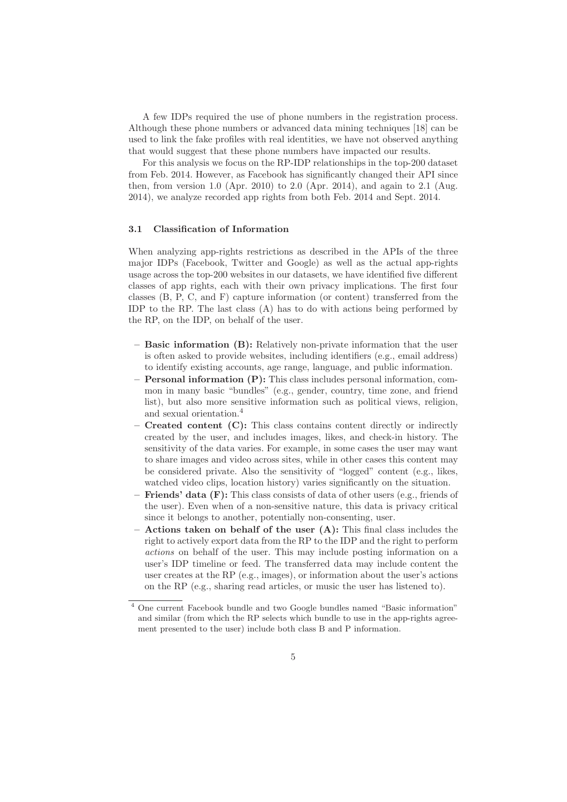A few IDPs required the use of phone numbers in the registration process. Although these phone numbers or advanced data mining techniques [18] can be used to link the fake profiles with real identities, we have not observed anything that would suggest that these phone numbers have impacted our results.

For this analysis we focus on the RP-IDP relationships in the top-200 dataset from Feb. 2014. However, as Facebook has significantly changed their API since then, from version 1.0 (Apr. 2010) to 2.0 (Apr. 2014), and again to 2.1 (Aug. 2014), we analyze recorded app rights from both Feb. 2014 and Sept. 2014.

#### 3.1 Classification of Information

When analyzing app-rights restrictions as described in the APIs of the three major IDPs (Facebook, Twitter and Google) as well as the actual app-rights usage across the top-200 websites in our datasets, we have identified five different classes of app rights, each with their own privacy implications. The first four classes (B, P, C, and F) capture information (or content) transferred from the IDP to the RP. The last class (A) has to do with actions being performed by the RP, on the IDP, on behalf of the user.

- Basic information (B): Relatively non-private information that the user is often asked to provide websites, including identifiers (e.g., email address) to identify existing accounts, age range, language, and public information.
- Personal information (P): This class includes personal information, common in many basic "bundles" (e.g., gender, country, time zone, and friend list), but also more sensitive information such as political views, religion, and sexual orientation.<sup>4</sup>
- Created content (C): This class contains content directly or indirectly created by the user, and includes images, likes, and check-in history. The sensitivity of the data varies. For example, in some cases the user may want to share images and video across sites, while in other cases this content may be considered private. Also the sensitivity of "logged" content (e.g., likes, watched video clips, location history) varies significantly on the situation.
- **Friends' data (F):** This class consists of data of other users (e.g., friends of the user). Even when of a non-sensitive nature, this data is privacy critical since it belongs to another, potentially non-consenting, user.
- Actions taken on behalf of the user  $(A)$ : This final class includes the right to actively export data from the RP to the IDP and the right to perform actions on behalf of the user. This may include posting information on a user's IDP timeline or feed. The transferred data may include content the user creates at the RP (e.g., images), or information about the user's actions on the RP (e.g., sharing read articles, or music the user has listened to).

<sup>4</sup> One current Facebook bundle and two Google bundles named "Basic information" and similar (from which the RP selects which bundle to use in the app-rights agreement presented to the user) include both class B and P information.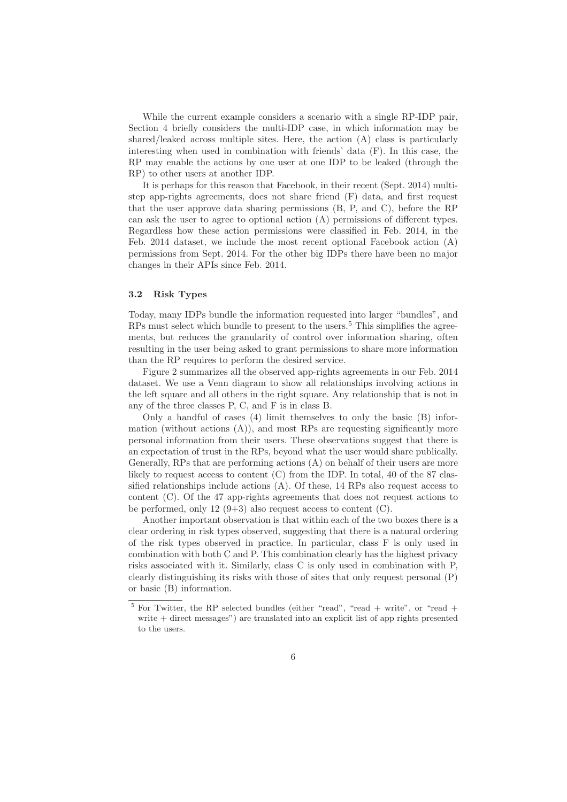While the current example considers a scenario with a single RP-IDP pair, Section 4 briefly considers the multi-IDP case, in which information may be shared/leaked across multiple sites. Here, the action (A) class is particularly interesting when used in combination with friends' data (F). In this case, the RP may enable the actions by one user at one IDP to be leaked (through the RP) to other users at another IDP.

It is perhaps for this reason that Facebook, in their recent (Sept. 2014) multistep app-rights agreements, does not share friend (F) data, and first request that the user approve data sharing permissions (B, P, and C), before the RP can ask the user to agree to optional action (A) permissions of different types. Regardless how these action permissions were classified in Feb. 2014, in the Feb. 2014 dataset, we include the most recent optional Facebook action (A) permissions from Sept. 2014. For the other big IDPs there have been no major changes in their APIs since Feb. 2014.

#### 3.2 Risk Types

Today, many IDPs bundle the information requested into larger "bundles", and  $RPs$  must select which bundle to present to the users.<sup>5</sup> This simplifies the agreements, but reduces the granularity of control over information sharing, often resulting in the user being asked to grant permissions to share more information than the RP requires to perform the desired service.

Figure 2 summarizes all the observed app-rights agreements in our Feb. 2014 dataset. We use a Venn diagram to show all relationships involving actions in the left square and all others in the right square. Any relationship that is not in any of the three classes P, C, and F is in class B.

Only a handful of cases (4) limit themselves to only the basic (B) information (without actions  $(A)$ ), and most RPs are requesting significantly more personal information from their users. These observations suggest that there is an expectation of trust in the RPs, beyond what the user would share publically. Generally, RPs that are performing actions (A) on behalf of their users are more likely to request access to content (C) from the IDP. In total, 40 of the 87 classified relationships include actions (A). Of these, 14 RPs also request access to content (C). Of the 47 app-rights agreements that does not request actions to be performed, only 12  $(9+3)$  also request access to content  $(C)$ .

Another important observation is that within each of the two boxes there is a clear ordering in risk types observed, suggesting that there is a natural ordering of the risk types observed in practice. In particular, class F is only used in combination with both C and P. This combination clearly has the highest privacy risks associated with it. Similarly, class C is only used in combination with P, clearly distinguishing its risks with those of sites that only request personal (P) or basic (B) information.

 $5$  For Twitter, the RP selected bundles (either "read", "read + write", or "read + write + direct messages") are translated into an explicit list of app rights presented to the users.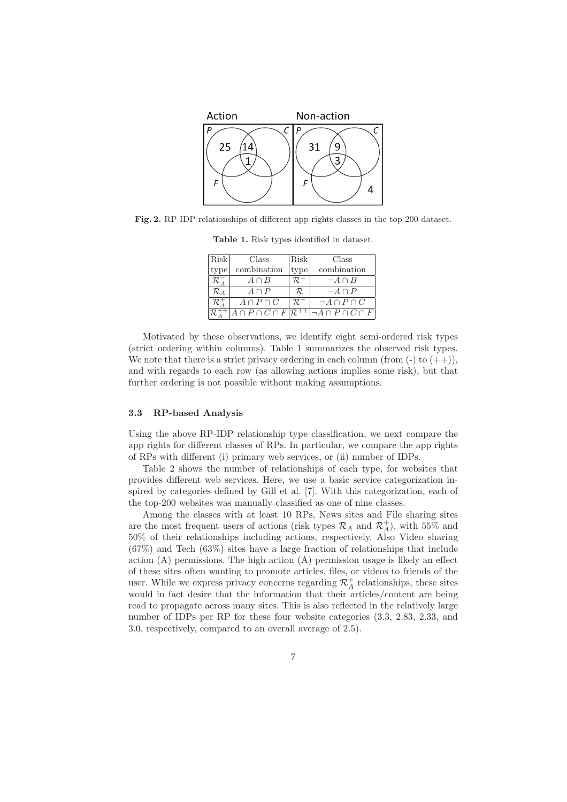

Fig. 2. RP-IDP relationships of different app-rights classes in the top-200 dataset.

Table 1. Risk types identified in dataset.

| <b>Risk</b>       | Class                                       | Risk            | Class                         |
|-------------------|---------------------------------------------|-----------------|-------------------------------|
| type              | combination                                 | type            | combination                   |
| $\mathcal{R}^-$   | $A \cap B$                                  | R-              | $\neg A \cap B$               |
| $\mathcal{R}_{A}$ | $A \cap P$                                  | R.              | $\neg A \cap P$               |
| $\mathcal{R}^+$   | $A \cap P \cap C$                           | $\mathcal{R}^+$ | $\neg A \cap P \cap C$        |
|                   | $A \cap P \cap C \cap F   \mathcal{R}^{++}$ |                 | $\neg A \cap P \cap C \cap F$ |

Motivated by these observations, we identify eight semi-ordered risk types (strict ordering within columns). Table 1 summarizes the observed risk types. We note that there is a strict privacy ordering in each column (from  $(-)$  to  $(++)$ ), and with regards to each row (as allowing actions implies some risk), but that further ordering is not possible without making assumptions.

## 3.3 RP-based Analysis

Using the above RP-IDP relationship type classification, we next compare the app rights for different classes of RPs. In particular, we compare the app rights of RPs with different (i) primary web services, or (ii) number of IDPs.

Table 2 shows the number of relationships of each type, for websites that provides different web services. Here, we use a basic service categorization inspired by categories defined by Gill et al. [7]. With this categorization, each of the top-200 websites was manually classified as one of nine classes.

Among the classes with at least 10 RPs, News sites and File sharing sites are the most frequent users of actions (risk types  $\mathcal{R}_A$  and  $\mathcal{R}_A^+$ ), with 55% and 50% of their relationships including actions, respectively. Also Video sharing  $(67%)$  and Tech  $(63%)$  sites have a large fraction of relationships that include action (A) permissions. The high action (A) permission usage is likely an effect of these sites often wanting to promote articles, files, or videos to friends of the user. While we express privacy concerns regarding  $\mathcal{R}^+_A$  relationships, these sites would in fact desire that the information that their articles/content are being read to propagate across many sites. This is also reflected in the relatively large number of IDPs per RP for these four website categories (3.3, 2.83, 2.33, and 3.0, respectively, compared to an overall average of 2.5).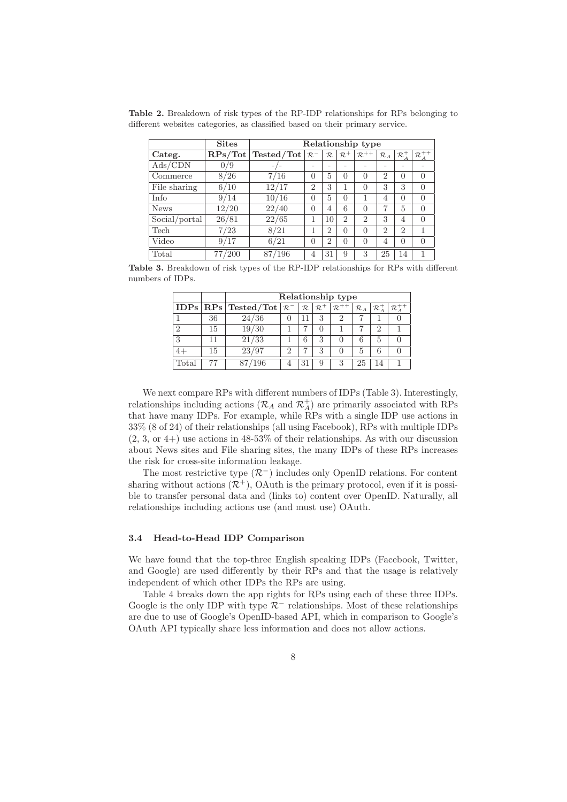|               | <b>Sites</b>  | Relationship type |                |                |                 |               |                |                   |                      |
|---------------|---------------|-------------------|----------------|----------------|-----------------|---------------|----------------|-------------------|----------------------|
| Categ.        | $\rm RPs/Tot$ | Tested/Tot        | $R^-$          | $\mathcal{R}$  | $\mathcal{R}^+$ | $R^{++}$      | $R_A$          | $\mathcal{R}^+_A$ | $\mathcal{R}_A^{++}$ |
| $Ads$ /CDN    | 0/9           |                   |                |                |                 |               |                |                   |                      |
| Commerce      | 8/26          | 7/16              | 0              | 5              | $\Omega$        | 0             | $\overline{2}$ | $\Omega$          | $\theta$             |
| File sharing  | 6/10          | 12/17             | $\overline{2}$ | 3              |                 | $\Omega$      | 3              | 3                 | $\Omega$             |
| Info          | 9/14          | 10/16             | $\Omega$       | 5              | $\Omega$        | 1             | 4              | $\theta$          | $\Omega$             |
| <b>News</b>   | 12/20         | 22/40             | $\Omega$       | 4              | 6               | $\Omega$      | 7              | 5                 | $\theta$             |
| Social/portal | 26/81         | 22/65             |                | 10             | $\overline{2}$  | $\mathcal{D}$ | 3              | 4                 | $\theta$             |
| Tech          | 7/23          | 8/21              |                | $\overline{2}$ | $\Omega$        | $\Omega$      | $\overline{2}$ | $\overline{2}$    |                      |
| Video         | 9/17          | 6/21              | $\Omega$       | $\overline{2}$ | $\Omega$        | $\Omega$      | 4              | $\Omega$          | $\theta$             |
| Total         | /200          | 87/196            | 4              | 31             | 9               | 3             | 25             | 14                |                      |

Table 2. Breakdown of risk types of the RP-IDP relationships for RPs belonging to different websites categories, as classified based on their primary service.

Table 3. Breakdown of risk types of the RP-IDP relationships for RPs with different numbers of IDPs.

|                |    | Relationship type                         |  |               |                 |                    |                   |                   |         |  |
|----------------|----|-------------------------------------------|--|---------------|-----------------|--------------------|-------------------|-------------------|---------|--|
|                |    | IDPs   RPs   Tested/Tot   $\mathcal{R}^-$ |  | $\mathcal{R}$ | $\mathcal{R}^+$ | $\mathcal{R}^{++}$ | $\mathcal{R}_{A}$ | $\mathcal{R}^+_A$ | $R_A^-$ |  |
|                | 36 | 24/36                                     |  |               | 3               | 2                  |                   |                   |         |  |
| $\overline{2}$ | 15 | 19/30                                     |  |               |                 |                    |                   | $\overline{2}$    |         |  |
| 3              | 11 | 21/33                                     |  | 6             | 3               |                    | 6                 | 5                 |         |  |
|                | 15 | 23/97                                     |  |               | 3               |                    | 5                 | 6                 |         |  |
| Total          |    | 87/196                                    |  | 31            | 9               | 3                  | 25                | 14                |         |  |

We next compare RPs with different numbers of IDPs (Table 3). Interestingly, relationships including actions  $(\mathcal{R}_A$  and  $\mathcal{R}_A^+$ ) are primarily associated with RPs that have many IDPs. For example, while RPs with a single IDP use actions in 33% (8 of 24) of their relationships (all using Facebook), RPs with multiple IDPs  $(2, 3, \text{ or } 4+)$  use actions in  $48-53\%$  of their relationships. As with our discussion about News sites and File sharing sites, the many IDPs of these RPs increases the risk for cross-site information leakage.

The most restrictive type  $(\mathcal{R}^-)$  includes only OpenID relations. For content sharing without actions  $(\mathcal{R}^+)$ , OAuth is the primary protocol, even if it is possible to transfer personal data and (links to) content over OpenID. Naturally, all relationships including actions use (and must use) OAuth.

## 3.4 Head-to-Head IDP Comparison

We have found that the top-three English speaking IDPs (Facebook, Twitter, and Google) are used differently by their RPs and that the usage is relatively independent of which other IDPs the RPs are using.

Table 4 breaks down the app rights for RPs using each of these three IDPs. Google is the only IDP with type  $\mathcal{R}^-$  relationships. Most of these relationships are due to use of Google's OpenID-based API, which in comparison to Google's OAuth API typically share less information and does not allow actions.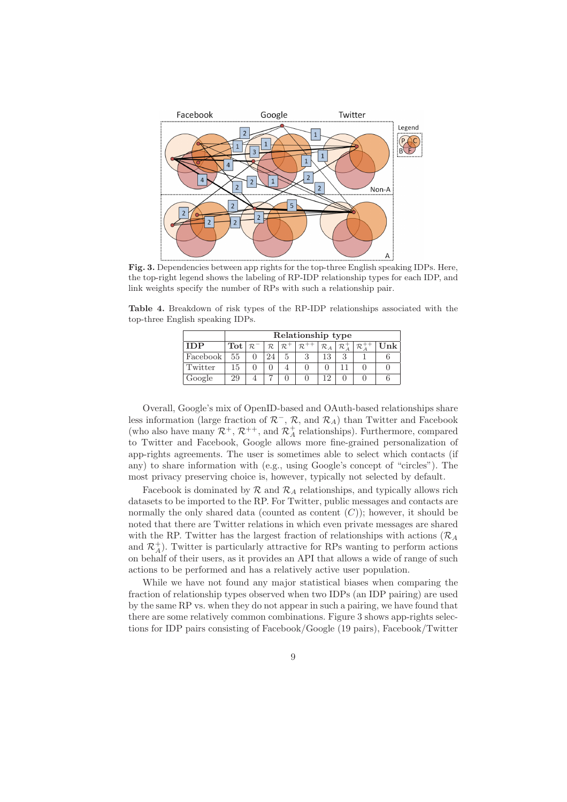

Fig. 3. Dependencies between app rights for the top-three English speaking IDPs. Here, the top-right legend shows the labeling of RP-IDP relationship types for each IDP, and link weights specify the number of RPs with such a relationship pair.

Table 4. Breakdown of risk types of the RP-IDP relationships associated with the top-three English speaking IDPs.

|            | Relationship type                             |  |                 |        |          |                 |                       |                       |     |
|------------|-----------------------------------------------|--|-----------------|--------|----------|-----------------|-----------------------|-----------------------|-----|
| <b>IDP</b> | $\operatorname{\bf Tot} \vert {\mathcal R}^-$ |  | $\mathcal{R}^-$ | $+R^+$ | $R^{++}$ | $\mathcal{R}_A$ | $\mathcal{R}^{\cdot}$ | $\mathcal{R}^{\cdot}$ | Unk |
| Facebook   | 55                                            |  | 24              | 5      | २        | 13              | っ                     |                       |     |
| Twitter    | 15                                            |  |                 |        |          |                 |                       |                       |     |
| Google     | 29                                            |  |                 |        |          |                 |                       |                       |     |

Overall, Google's mix of OpenID-based and OAuth-based relationships share less information (large fraction of  $\mathcal{R}^-$ ,  $\mathcal{R}$ , and  $\mathcal{R}_A$ ) than Twitter and Facebook (who also have many  $\mathcal{R}^+$ ,  $\mathcal{R}^{++}$ , and  $\mathcal{R}^+_A$  relationships). Furthermore, compared to Twitter and Facebook, Google allows more fine-grained personalization of app-rights agreements. The user is sometimes able to select which contacts (if any) to share information with (e.g., using Google's concept of "circles"). The most privacy preserving choice is, however, typically not selected by default.

Facebook is dominated by  $\mathcal{R}$  and  $\mathcal{R}_A$  relationships, and typically allows rich datasets to be imported to the RP. For Twitter, public messages and contacts are normally the only shared data (counted as content  $(C)$ ); however, it should be noted that there are Twitter relations in which even private messages are shared with the RP. Twitter has the largest fraction of relationships with actions  $(R_A)$ and  $\mathcal{R}_A^+$ ). Twitter is particularly attractive for RPs wanting to perform actions on behalf of their users, as it provides an API that allows a wide of range of such actions to be performed and has a relatively active user population.

While we have not found any major statistical biases when comparing the fraction of relationship types observed when two IDPs (an IDP pairing) are used by the same RP vs. when they do not appear in such a pairing, we have found that there are some relatively common combinations. Figure 3 shows app-rights selections for IDP pairs consisting of Facebook/Google (19 pairs), Facebook/Twitter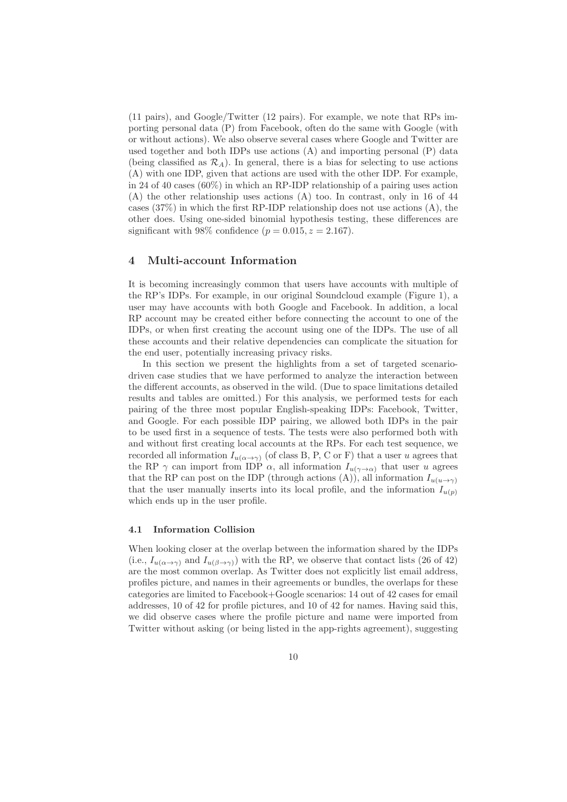(11 pairs), and Google/Twitter (12 pairs). For example, we note that RPs importing personal data (P) from Facebook, often do the same with Google (with or without actions). We also observe several cases where Google and Twitter are used together and both IDPs use actions (A) and importing personal (P) data (being classified as  $\mathcal{R}_A$ ). In general, there is a bias for selecting to use actions (A) with one IDP, given that actions are used with the other IDP. For example, in 24 of 40 cases (60%) in which an RP-IDP relationship of a pairing uses action (A) the other relationship uses actions (A) too. In contrast, only in 16 of 44 cases  $(37\%)$  in which the first RP-IDP relationship does not use actions  $(A)$ , the other does. Using one-sided binomial hypothesis testing, these differences are significant with 98% confidence ( $p = 0.015$ ,  $z = 2.167$ ).

## 4 Multi-account Information

It is becoming increasingly common that users have accounts with multiple of the RP's IDPs. For example, in our original Soundcloud example (Figure 1), a user may have accounts with both Google and Facebook. In addition, a local RP account may be created either before connecting the account to one of the IDPs, or when first creating the account using one of the IDPs. The use of all these accounts and their relative dependencies can complicate the situation for the end user, potentially increasing privacy risks.

In this section we present the highlights from a set of targeted scenariodriven case studies that we have performed to analyze the interaction between the different accounts, as observed in the wild. (Due to space limitations detailed results and tables are omitted.) For this analysis, we performed tests for each pairing of the three most popular English-speaking IDPs: Facebook, Twitter, and Google. For each possible IDP pairing, we allowed both IDPs in the pair to be used first in a sequence of tests. The tests were also performed both with and without first creating local accounts at the RPs. For each test sequence, we recorded all information  $I_{u(\alpha \to \gamma)}$  (of class B, P, C or F) that a user u agrees that the RP  $\gamma$  can import from IDP  $\alpha$ , all information  $I_{u(\gamma\to\alpha)}$  that user u agrees that the RP can post on the IDP (through actions (A)), all information  $I_{u(u\to\gamma)}$ that the user manually inserts into its local profile, and the information  $I_{u(p)}$ which ends up in the user profile.

#### 4.1 Information Collision

When looking closer at the overlap between the information shared by the IDPs (i.e.,  $I_{u(\alpha \to \gamma)}$  and  $I_{u(\beta \to \gamma)}$ ) with the RP, we observe that contact lists (26 of 42) are the most common overlap. As Twitter does not explicitly list email address, profiles picture, and names in their agreements or bundles, the overlaps for these categories are limited to Facebook+Google scenarios: 14 out of 42 cases for email addresses, 10 of 42 for profile pictures, and 10 of 42 for names. Having said this, we did observe cases where the profile picture and name were imported from Twitter without asking (or being listed in the app-rights agreement), suggesting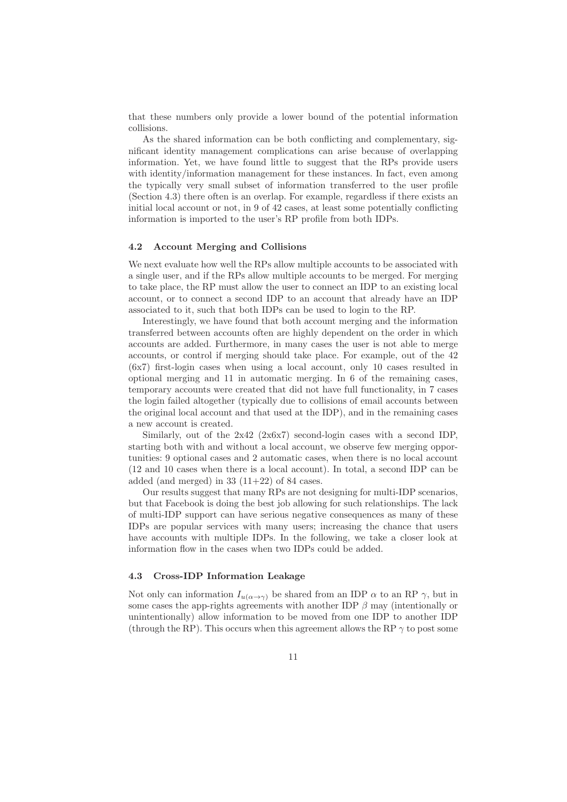that these numbers only provide a lower bound of the potential information collisions.

As the shared information can be both conflicting and complementary, significant identity management complications can arise because of overlapping information. Yet, we have found little to suggest that the RPs provide users with identity/information management for these instances. In fact, even among the typically very small subset of information transferred to the user profile (Section 4.3) there often is an overlap. For example, regardless if there exists an initial local account or not, in 9 of 42 cases, at least some potentially conflicting information is imported to the user's RP profile from both IDPs.

## 4.2 Account Merging and Collisions

We next evaluate how well the RPs allow multiple accounts to be associated with a single user, and if the RPs allow multiple accounts to be merged. For merging to take place, the RP must allow the user to connect an IDP to an existing local account, or to connect a second IDP to an account that already have an IDP associated to it, such that both IDPs can be used to login to the RP.

Interestingly, we have found that both account merging and the information transferred between accounts often are highly dependent on the order in which accounts are added. Furthermore, in many cases the user is not able to merge accounts, or control if merging should take place. For example, out of the 42 (6x7) first-login cases when using a local account, only 10 cases resulted in optional merging and 11 in automatic merging. In 6 of the remaining cases, temporary accounts were created that did not have full functionality, in 7 cases the login failed altogether (typically due to collisions of email accounts between the original local account and that used at the IDP), and in the remaining cases a new account is created.

Similarly, out of the 2x42 (2x6x7) second-login cases with a second IDP, starting both with and without a local account, we observe few merging opportunities: 9 optional cases and 2 automatic cases, when there is no local account (12 and 10 cases when there is a local account). In total, a second IDP can be added (and merged) in  $33(11+22)$  of  $84$  cases.

Our results suggest that many RPs are not designing for multi-IDP scenarios, but that Facebook is doing the best job allowing for such relationships. The lack of multi-IDP support can have serious negative consequences as many of these IDPs are popular services with many users; increasing the chance that users have accounts with multiple IDPs. In the following, we take a closer look at information flow in the cases when two IDPs could be added.

#### 4.3 Cross-IDP Information Leakage

Not only can information  $I_{u(\alpha \to \gamma)}$  be shared from an IDP  $\alpha$  to an RP  $\gamma$ , but in some cases the app-rights agreements with another IDP  $\beta$  may (intentionally or unintentionally) allow information to be moved from one IDP to another IDP (through the RP). This occurs when this agreement allows the RP  $\gamma$  to post some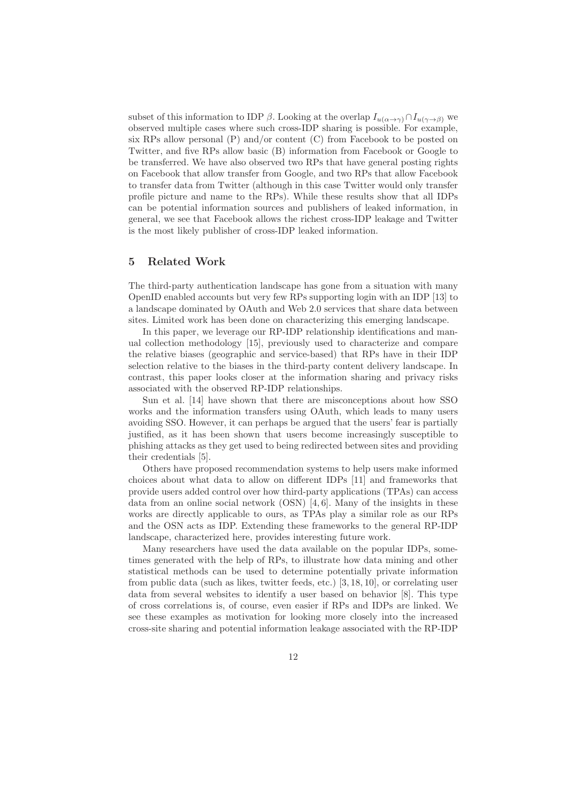subset of this information to IDP  $\beta$ . Looking at the overlap  $I_{u(\alpha \to \gamma)} \cap I_{u(\gamma \to \beta)}$  we observed multiple cases where such cross-IDP sharing is possible. For example, six RPs allow personal (P) and/or content (C) from Facebook to be posted on Twitter, and five RPs allow basic (B) information from Facebook or Google to be transferred. We have also observed two RPs that have general posting rights on Facebook that allow transfer from Google, and two RPs that allow Facebook to transfer data from Twitter (although in this case Twitter would only transfer profile picture and name to the RPs). While these results show that all IDPs can be potential information sources and publishers of leaked information, in general, we see that Facebook allows the richest cross-IDP leakage and Twitter is the most likely publisher of cross-IDP leaked information.

## 5 Related Work

The third-party authentication landscape has gone from a situation with many OpenID enabled accounts but very few RPs supporting login with an IDP [13] to a landscape dominated by OAuth and Web 2.0 services that share data between sites. Limited work has been done on characterizing this emerging landscape.

In this paper, we leverage our RP-IDP relationship identifications and manual collection methodology [15], previously used to characterize and compare the relative biases (geographic and service-based) that RPs have in their IDP selection relative to the biases in the third-party content delivery landscape. In contrast, this paper looks closer at the information sharing and privacy risks associated with the observed RP-IDP relationships.

Sun et al. [14] have shown that there are misconceptions about how SSO works and the information transfers using OAuth, which leads to many users avoiding SSO. However, it can perhaps be argued that the users' fear is partially justified, as it has been shown that users become increasingly susceptible to phishing attacks as they get used to being redirected between sites and providing their credentials [5].

Others have proposed recommendation systems to help users make informed choices about what data to allow on different IDPs [11] and frameworks that provide users added control over how third-party applications (TPAs) can access data from an online social network (OSN) [4, 6]. Many of the insights in these works are directly applicable to ours, as TPAs play a similar role as our RPs and the OSN acts as IDP. Extending these frameworks to the general RP-IDP landscape, characterized here, provides interesting future work.

Many researchers have used the data available on the popular IDPs, sometimes generated with the help of RPs, to illustrate how data mining and other statistical methods can be used to determine potentially private information from public data (such as likes, twitter feeds, etc.) [3, 18, 10], or correlating user data from several websites to identify a user based on behavior [8]. This type of cross correlations is, of course, even easier if RPs and IDPs are linked. We see these examples as motivation for looking more closely into the increased cross-site sharing and potential information leakage associated with the RP-IDP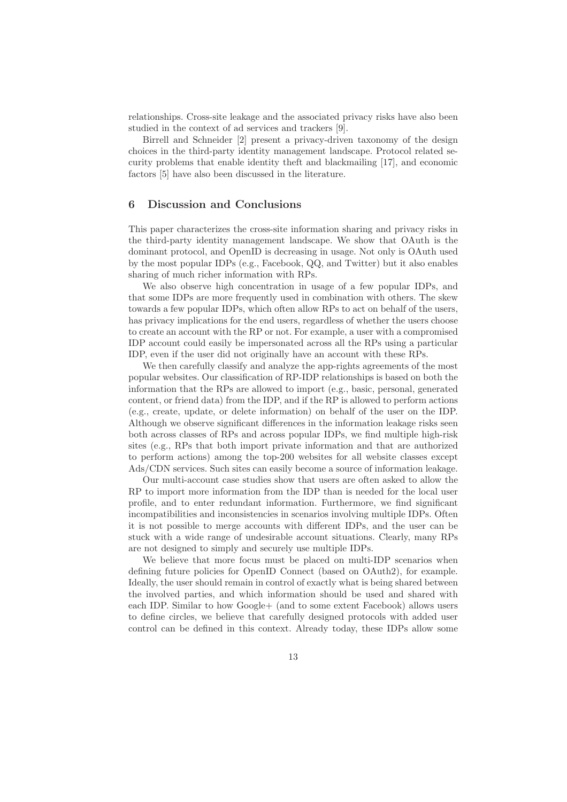relationships. Cross-site leakage and the associated privacy risks have also been studied in the context of ad services and trackers [9].

Birrell and Schneider [2] present a privacy-driven taxonomy of the design choices in the third-party identity management landscape. Protocol related security problems that enable identity theft and blackmailing [17], and economic factors [5] have also been discussed in the literature.

## 6 Discussion and Conclusions

This paper characterizes the cross-site information sharing and privacy risks in the third-party identity management landscape. We show that OAuth is the dominant protocol, and OpenID is decreasing in usage. Not only is OAuth used by the most popular IDPs (e.g., Facebook, QQ, and Twitter) but it also enables sharing of much richer information with RPs.

We also observe high concentration in usage of a few popular IDPs, and that some IDPs are more frequently used in combination with others. The skew towards a few popular IDPs, which often allow RPs to act on behalf of the users, has privacy implications for the end users, regardless of whether the users choose to create an account with the RP or not. For example, a user with a compromised IDP account could easily be impersonated across all the RPs using a particular IDP, even if the user did not originally have an account with these RPs.

We then carefully classify and analyze the app-rights agreements of the most popular websites. Our classification of RP-IDP relationships is based on both the information that the RPs are allowed to import (e.g., basic, personal, generated content, or friend data) from the IDP, and if the RP is allowed to perform actions (e.g., create, update, or delete information) on behalf of the user on the IDP. Although we observe significant differences in the information leakage risks seen both across classes of RPs and across popular IDPs, we find multiple high-risk sites (e.g., RPs that both import private information and that are authorized to perform actions) among the top-200 websites for all website classes except Ads/CDN services. Such sites can easily become a source of information leakage.

Our multi-account case studies show that users are often asked to allow the RP to import more information from the IDP than is needed for the local user profile, and to enter redundant information. Furthermore, we find significant incompatibilities and inconsistencies in scenarios involving multiple IDPs. Often it is not possible to merge accounts with different IDPs, and the user can be stuck with a wide range of undesirable account situations. Clearly, many RPs are not designed to simply and securely use multiple IDPs.

We believe that more focus must be placed on multi-IDP scenarios when defining future policies for OpenID Connect (based on OAuth2), for example. Ideally, the user should remain in control of exactly what is being shared between the involved parties, and which information should be used and shared with each IDP. Similar to how Google+ (and to some extent Facebook) allows users to define circles, we believe that carefully designed protocols with added user control can be defined in this context. Already today, these IDPs allow some